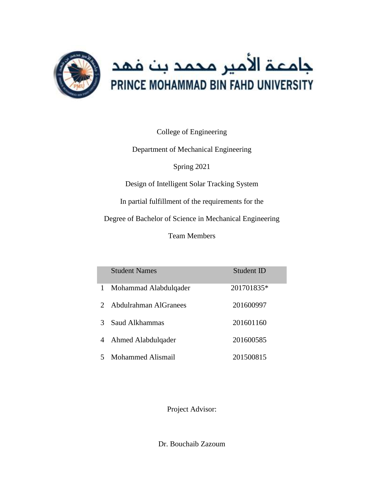

College of Engineering

Department of Mechanical Engineering

Spring 2021

Design of Intelligent Solar Tracking System

In partial fulfillment of the requirements for the

Degree of Bachelor of Science in Mechanical Engineering

Team Members

|               | <b>Student Names</b>  | Student ID |
|---------------|-----------------------|------------|
| 1             | Mohammad Alabdulqader | 201701835* |
| $\mathcal{D}$ | Abdulrahman AlGranees | 201600997  |
| 3             | Saud Alkhammas        | 201601160  |
| 4             | Ahmed Alabdulqader    | 201600585  |
| 5             | Mohammed Alismail     | 201500815  |

Project Advisor:

Dr. Bouchaib Zazoum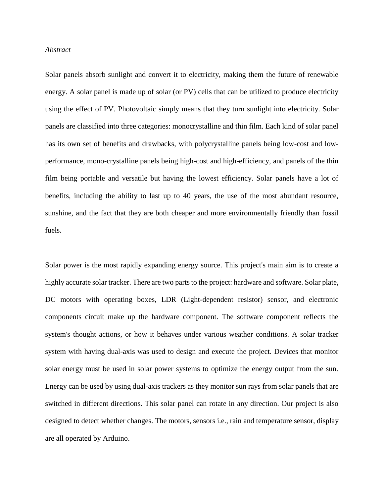#### *Abstract*

Solar panels absorb sunlight and convert it to electricity, making them the future of renewable energy. A solar panel is made up of solar (or PV) cells that can be utilized to produce electricity using the effect of PV. Photovoltaic simply means that they turn sunlight into electricity. Solar panels are classified into three categories: monocrystalline and thin film. Each kind of solar panel has its own set of benefits and drawbacks, with polycrystalline panels being low-cost and lowperformance, mono-crystalline panels being high-cost and high-efficiency, and panels of the thin film being portable and versatile but having the lowest efficiency. Solar panels have a lot of benefits, including the ability to last up to 40 years, the use of the most abundant resource, sunshine, and the fact that they are both cheaper and more environmentally friendly than fossil fuels.

Solar power is the most rapidly expanding energy source. This project's main aim is to create a highly accurate solar tracker. There are two parts to the project: hardware and software. Solar plate, DC motors with operating boxes, LDR (Light-dependent resistor) sensor, and electronic components circuit make up the hardware component. The software component reflects the system's thought actions, or how it behaves under various weather conditions. A solar tracker system with having dual-axis was used to design and execute the project. Devices that monitor solar energy must be used in solar power systems to optimize the energy output from the sun. Energy can be used by using dual-axis trackers as they monitor sun rays from solar panels that are switched in different directions. This solar panel can rotate in any direction. Our project is also designed to detect whether changes. The motors, sensors i.e., rain and temperature sensor, display are all operated by Arduino.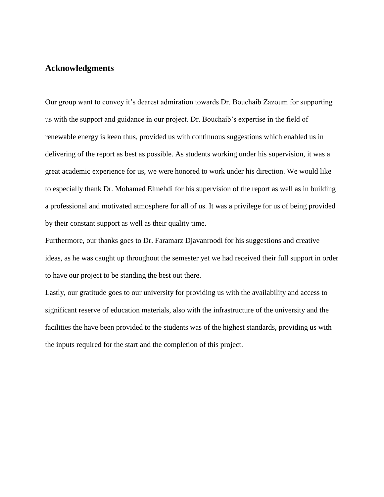# **Acknowledgments**

Our group want to convey it's dearest admiration towards Dr. Bouchaib Zazoum for supporting us with the support and guidance in our project. Dr. Bouchaib's expertise in the field of renewable energy is keen thus, provided us with continuous suggestions which enabled us in delivering of the report as best as possible. As students working under his supervision, it was a great academic experience for us, we were honored to work under his direction. We would like to especially thank Dr. Mohamed Elmehdi for his supervision of the report as well as in building a professional and motivated atmosphere for all of us. It was a privilege for us of being provided by their constant support as well as their quality time.

Furthermore, our thanks goes to Dr. Faramarz Djavanroodi for his suggestions and creative ideas, as he was caught up throughout the semester yet we had received their full support in order to have our project to be standing the best out there.

Lastly, our gratitude goes to our university for providing us with the availability and access to significant reserve of education materials, also with the infrastructure of the university and the facilities the have been provided to the students was of the highest standards, providing us with the inputs required for the start and the completion of this project.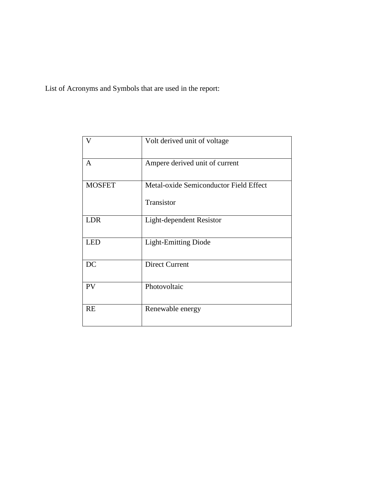List of Acronyms and Symbols that are used in the report:

| $\overline{V}$ | Volt derived unit of voltage                         |
|----------------|------------------------------------------------------|
| $\overline{A}$ | Ampere derived unit of current                       |
| <b>MOSFET</b>  | Metal-oxide Semiconductor Field Effect<br>Transistor |
| <b>LDR</b>     | Light-dependent Resistor                             |
| <b>LED</b>     | <b>Light-Emitting Diode</b>                          |
| DC             | <b>Direct Current</b>                                |
| <b>PV</b>      | Photovoltaic                                         |
| <b>RE</b>      | Renewable energy                                     |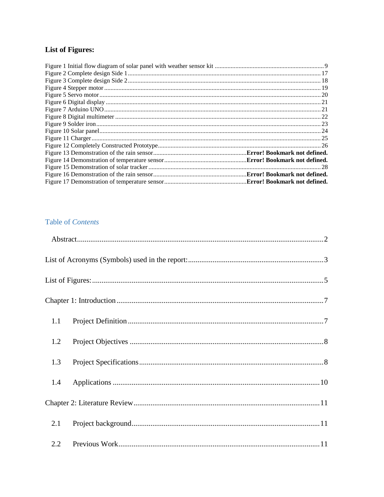# **List of Figures:**

# Table of Contents

| 1.1 |  |
|-----|--|
| 1.2 |  |
| 1.3 |  |
| 1.4 |  |
|     |  |
| 2.1 |  |
|     |  |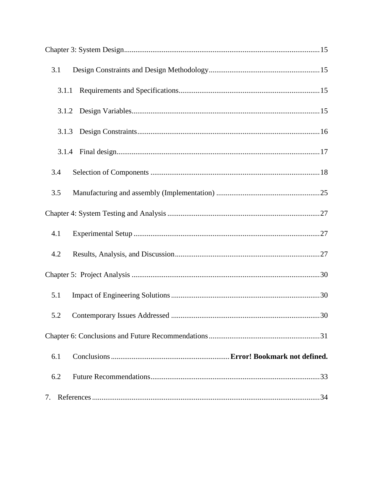| 3.1   |  |  |  |  |
|-------|--|--|--|--|
| 3.1.1 |  |  |  |  |
|       |  |  |  |  |
| 3.1.3 |  |  |  |  |
|       |  |  |  |  |
| 3.4   |  |  |  |  |
| 3.5   |  |  |  |  |
|       |  |  |  |  |
| 4.1   |  |  |  |  |
| 4.2   |  |  |  |  |
|       |  |  |  |  |
| 5.1   |  |  |  |  |
| 5.2   |  |  |  |  |
|       |  |  |  |  |
| 6.1   |  |  |  |  |
| 6.2   |  |  |  |  |
| 7.    |  |  |  |  |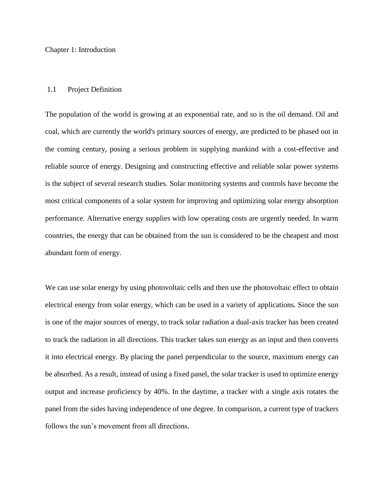#### Chapter 1: Introduction

### 1.1 Project Definition

The population of the world is growing at an exponential rate, and so is the oil demand. Oil and coal, which are currently the world's primary sources of energy, are predicted to be phased out in the coming century, posing a serious problem in supplying mankind with a cost-effective and reliable source of energy. Designing and constructing effective and reliable solar power systems is the subject of several research studies. Solar monitoring systems and controls have become the most critical components of a solar system for improving and optimizing solar energy absorption performance. Alternative energy supplies with low operating costs are urgently needed. In warm countries, the energy that can be obtained from the sun is considered to be the cheapest and most abundant form of energy.

We can use solar energy by using photovoltaic cells and then use the photovoltaic effect to obtain electrical energy from solar energy, which can be used in a variety of applications. Since the sun is one of the major sources of energy, to track solar radiation a dual-axis tracker has been created to track the radiation in all directions. This tracker takes sun energy as an input and then converts it into electrical energy. By placing the panel perpendicular to the source, maximum energy can be absorbed. As a result, instead of using a fixed panel, the solar tracker is used to optimize energy output and increase proficiency by 40%. In the daytime, a tracker with a single axis rotates the panel from the sides having independence of one degree. In comparison, a current type of trackers follows the sun's movement from all directions.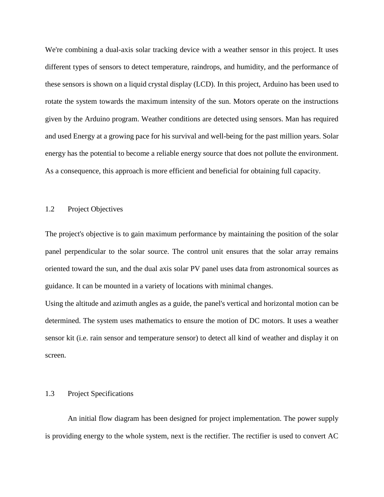We're combining a dual-axis solar tracking device with a weather sensor in this project. It uses different types of sensors to detect temperature, raindrops, and humidity, and the performance of these sensors is shown on a liquid crystal display (LCD). In this project, Arduino has been used to rotate the system towards the maximum intensity of the sun. Motors operate on the instructions given by the Arduino program. Weather conditions are detected using sensors. Man has required and used Energy at a growing pace for his survival and well-being for the past million years. Solar energy has the potential to become a reliable energy source that does not pollute the environment. As a consequence, this approach is more efficient and beneficial for obtaining full capacity.

### 1.2 Project Objectives

The project's objective is to gain maximum performance by maintaining the position of the solar panel perpendicular to the solar source. The control unit ensures that the solar array remains oriented toward the sun, and the dual axis solar PV panel uses data from astronomical sources as guidance. It can be mounted in a variety of locations with minimal changes.

Using the altitude and azimuth angles as a guide, the panel's vertical and horizontal motion can be determined. The system uses mathematics to ensure the motion of DC motors. It uses a weather sensor kit (i.e. rain sensor and temperature sensor) to detect all kind of weather and display it on screen.

## 1.3 Project Specifications

 An initial flow diagram has been designed for project implementation. The power supply is providing energy to the whole system, next is the rectifier. The rectifier is used to convert AC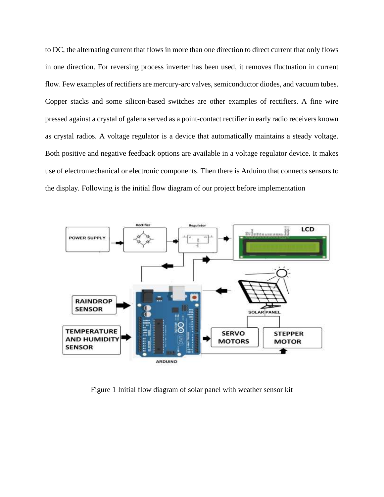to DC, the alternating current that flows in more than one direction to direct current that only flows in one direction. For reversing process inverter has been used, it removes fluctuation in current flow. Few examples of rectifiers are mercury-arc valves, semiconductor diodes, and vacuum tubes. Copper stacks and some silicon-based switches are other examples of rectifiers. A fine wire pressed against a crystal of galena served as a point-contact rectifier in early radio receivers known as crystal radios. A voltage regulator is a device that automatically maintains a steady voltage. Both positive and negative feedback options are available in a voltage regulator device. It makes use of electromechanical or electronic components. Then there is Arduino that connects sensors to the display. Following is the initial flow diagram of our project before implementation



Figure 1 Initial flow diagram of solar panel with weather sensor kit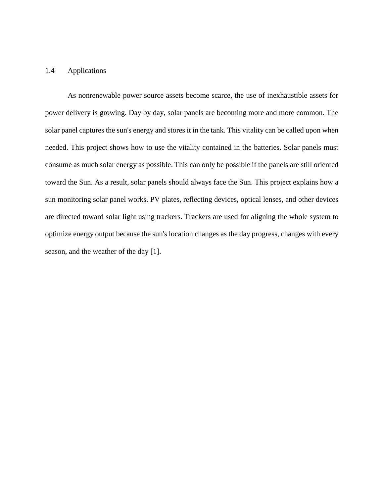## 1.4 Applications

 As nonrenewable power source assets become scarce, the use of inexhaustible assets for power delivery is growing. Day by day, solar panels are becoming more and more common. The solar panel captures the sun's energy and stores it in the tank. This vitality can be called upon when needed. This project shows how to use the vitality contained in the batteries. Solar panels must consume as much solar energy as possible. This can only be possible if the panels are still oriented toward the Sun. As a result, solar panels should always face the Sun. This project explains how a sun monitoring solar panel works. PV plates, reflecting devices, optical lenses, and other devices are directed toward solar light using trackers. Trackers are used for aligning the whole system to optimize energy output because the sun's location changes as the day progress, changes with every season, and the weather of the day [1].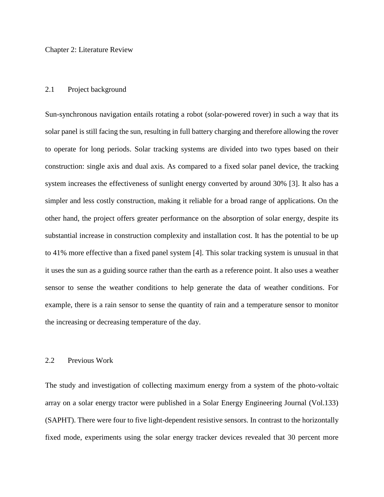Chapter 2: Literature Review

### 2.1 Project background

Sun-synchronous navigation entails rotating a robot (solar-powered rover) in such a way that its solar panel is still facing the sun, resulting in full battery charging and therefore allowing the rover to operate for long periods. Solar tracking systems are divided into two types based on their construction: single axis and dual axis. As compared to a fixed solar panel device, the tracking system increases the effectiveness of sunlight energy converted by around 30% [3]. It also has a simpler and less costly construction, making it reliable for a broad range of applications. On the other hand, the project offers greater performance on the absorption of solar energy, despite its substantial increase in construction complexity and installation cost. It has the potential to be up to 41% more effective than a fixed panel system [4]. This solar tracking system is unusual in that it uses the sun as a guiding source rather than the earth as a reference point. It also uses a weather sensor to sense the weather conditions to help generate the data of weather conditions. For example, there is a rain sensor to sense the quantity of rain and a temperature sensor to monitor the increasing or decreasing temperature of the day.

## 2.2 Previous Work

The study and investigation of collecting maximum energy from a system of the photo-voltaic array on a solar energy tractor were published in a Solar Energy Engineering Journal (Vol.133) (SAPHT). There were four to five light-dependent resistive sensors. In contrast to the horizontally fixed mode, experiments using the solar energy tracker devices revealed that 30 percent more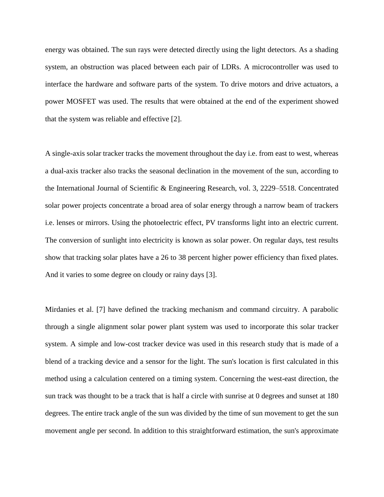energy was obtained. The sun rays were detected directly using the light detectors. As a shading system, an obstruction was placed between each pair of LDRs. A microcontroller was used to interface the hardware and software parts of the system. To drive motors and drive actuators, a power MOSFET was used. The results that were obtained at the end of the experiment showed that the system was reliable and effective [2].

A single-axis solar tracker tracks the movement throughout the day i.e. from east to west, whereas a dual-axis tracker also tracks the seasonal declination in the movement of the sun, according to the International Journal of Scientific & Engineering Research, vol. 3, 2229–5518. Concentrated solar power projects concentrate a broad area of solar energy through a narrow beam of trackers i.e. lenses or mirrors. Using the photoelectric effect, PV transforms light into an electric current. The conversion of sunlight into electricity is known as solar power. On regular days, test results show that tracking solar plates have a 26 to 38 percent higher power efficiency than fixed plates. And it varies to some degree on cloudy or rainy days [3].

Mirdanies et al. [7] have defined the tracking mechanism and command circuitry. A parabolic through a single alignment solar power plant system was used to incorporate this solar tracker system. A simple and low-cost tracker device was used in this research study that is made of a blend of a tracking device and a sensor for the light. The sun's location is first calculated in this method using a calculation centered on a timing system. Concerning the west-east direction, the sun track was thought to be a track that is half a circle with sunrise at 0 degrees and sunset at 180 degrees. The entire track angle of the sun was divided by the time of sun movement to get the sun movement angle per second. In addition to this straightforward estimation, the sun's approximate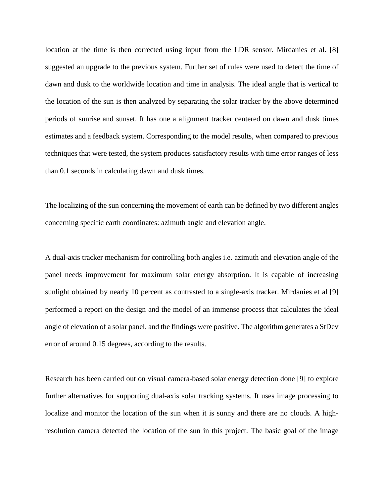location at the time is then corrected using input from the LDR sensor. Mirdanies et al. [8] suggested an upgrade to the previous system. Further set of rules were used to detect the time of dawn and dusk to the worldwide location and time in analysis. The ideal angle that is vertical to the location of the sun is then analyzed by separating the solar tracker by the above determined periods of sunrise and sunset. It has one a alignment tracker centered on dawn and dusk times estimates and a feedback system. Corresponding to the model results, when compared to previous techniques that were tested, the system produces satisfactory results with time error ranges of less than 0.1 seconds in calculating dawn and dusk times.

The localizing of the sun concerning the movement of earth can be defined by two different angles concerning specific earth coordinates: azimuth angle and elevation angle.

A dual-axis tracker mechanism for controlling both angles i.e. azimuth and elevation angle of the panel needs improvement for maximum solar energy absorption. It is capable of increasing sunlight obtained by nearly 10 percent as contrasted to a single-axis tracker. Mirdanies et al [9] performed a report on the design and the model of an immense process that calculates the ideal angle of elevation of a solar panel, and the findings were positive. The algorithm generates a StDev error of around 0.15 degrees, according to the results.

Research has been carried out on visual camera-based solar energy detection done [9] to explore further alternatives for supporting dual-axis solar tracking systems. It uses image processing to localize and monitor the location of the sun when it is sunny and there are no clouds. A highresolution camera detected the location of the sun in this project. The basic goal of the image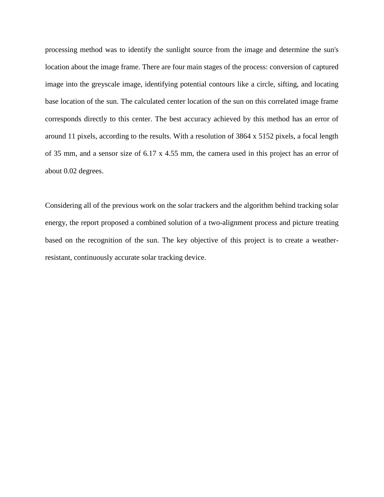processing method was to identify the sunlight source from the image and determine the sun's location about the image frame. There are four main stages of the process: conversion of captured image into the greyscale image, identifying potential contours like a circle, sifting, and locating base location of the sun. The calculated center location of the sun on this correlated image frame corresponds directly to this center. The best accuracy achieved by this method has an error of around 11 pixels, according to the results. With a resolution of 3864 x 5152 pixels, a focal length of 35 mm, and a sensor size of 6.17 x 4.55 mm, the camera used in this project has an error of about 0.02 degrees.

Considering all of the previous work on the solar trackers and the algorithm behind tracking solar energy, the report proposed a combined solution of a two-alignment process and picture treating based on the recognition of the sun. The key objective of this project is to create a weatherresistant, continuously accurate solar tracking device.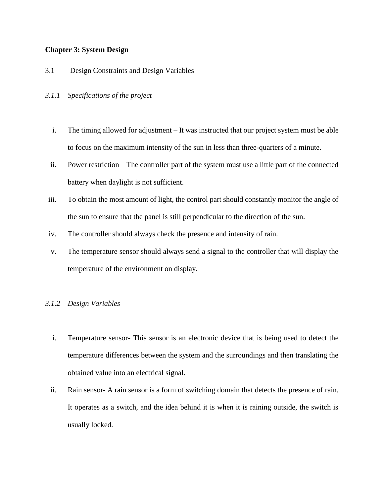## **Chapter 3: System Design**

- 3.1 Design Constraints and Design Variables
- *3.1.1 Specifications of the project*
	- i. The timing allowed for adjustment It was instructed that our project system must be able to focus on the maximum intensity of the sun in less than three-quarters of a minute.
	- ii. Power restriction The controller part of the system must use a little part of the connected battery when daylight is not sufficient.
- iii. To obtain the most amount of light, the control part should constantly monitor the angle of the sun to ensure that the panel is still perpendicular to the direction of the sun.
- iv. The controller should always check the presence and intensity of rain.
- v. The temperature sensor should always send a signal to the controller that will display the temperature of the environment on display.

## *3.1.2 Design Variables*

- i. Temperature sensor- This sensor is an electronic device that is being used to detect the temperature differences between the system and the surroundings and then translating the obtained value into an electrical signal.
- ii. Rain sensor- A rain sensor is a form of switching domain that detects the presence of rain. It operates as a switch, and the idea behind it is when it is raining outside, the switch is usually locked.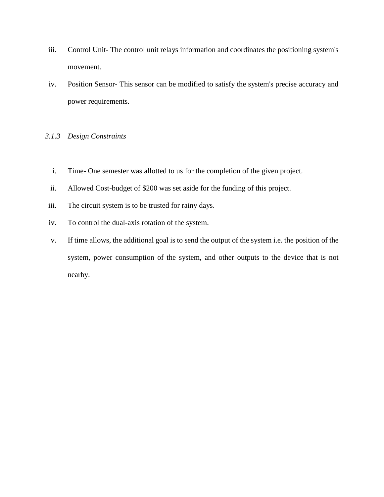- iii. Control Unit- The control unit relays information and coordinates the positioning system's movement.
- iv. Position Sensor- This sensor can be modified to satisfy the system's precise accuracy and power requirements.

# *3.1.3 Design Constraints*

- i. Time- One semester was allotted to us for the completion of the given project.
- ii. Allowed Cost-budget of \$200 was set aside for the funding of this project.
- iii. The circuit system is to be trusted for rainy days.
- iv. To control the dual-axis rotation of the system.
- v. If time allows, the additional goal is to send the output of the system i.e. the position of the system, power consumption of the system, and other outputs to the device that is not nearby.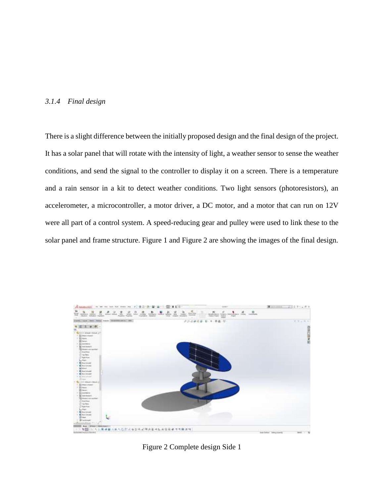## *3.1.4 Final design*

There is a slight difference between the initially proposed design and the final design of the project. It has a solar panel that will rotate with the intensity of light, a weather sensor to sense the weather conditions, and send the signal to the controller to display it on a screen. There is a temperature and a rain sensor in a kit to detect weather conditions. Two light sensors (photoresistors), an accelerometer, a microcontroller, a motor driver, a DC motor, and a motor that can run on 12V were all part of a control system. A speed-reducing gear and pulley were used to link these to the solar panel and frame structure. Figure 1 and Figure 2 are showing the images of the final design.



Figure 2 Complete design Side 1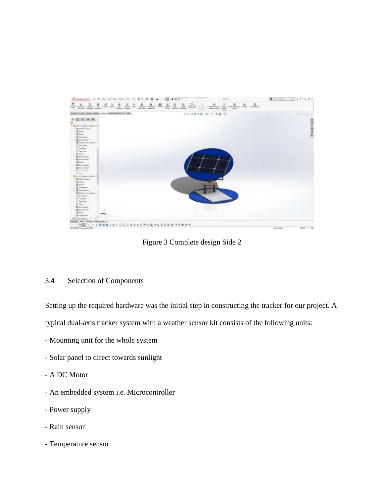

Figure 3 Complete design Side 2

# 3.4 Selection of Components

Setting up the required hardware was the initial step in constructing the tracker for our project. A

typical dual-axis tracker system with a weather sensor kit consists of the following units:

- Mounting unit for the whole system
- Solar panel to direct towards sunlight
- A DC Motor
- An embedded system i.e. Microcontroller
- Power supply
- Rain sensor
- Temperature sensor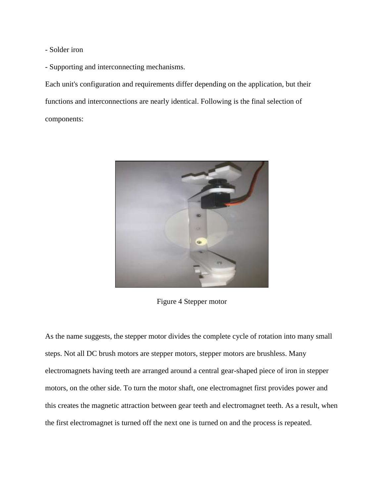- Solder iron
- Supporting and interconnecting mechanisms.

Each unit's configuration and requirements differ depending on the application, but their functions and interconnections are nearly identical. Following is the final selection of components:



Figure 4 Stepper motor

As the name suggests, the stepper motor divides the complete cycle of rotation into many small steps. Not all DC brush motors are stepper motors, stepper motors are brushless. Many electromagnets having teeth are arranged around a central gear-shaped piece of iron in stepper motors, on the other side. To turn the motor shaft, one electromagnet first provides power and this creates the magnetic attraction between gear teeth and electromagnet teeth. As a result, when the first electromagnet is turned off the next one is turned on and the process is repeated.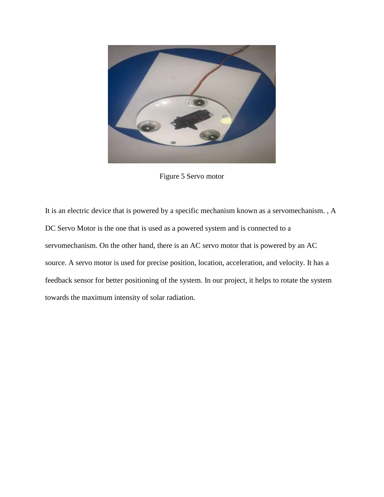

Figure 5 Servo motor

It is an electric device that is powered by a specific mechanism known as a servomechanism. , A DC Servo Motor is the one that is used as a powered system and is connected to a servomechanism. On the other hand, there is an AC servo motor that is powered by an AC source. A servo motor is used for precise position, location, acceleration, and velocity. It has a feedback sensor for better positioning of the system. In our project, it helps to rotate the system towards the maximum intensity of solar radiation.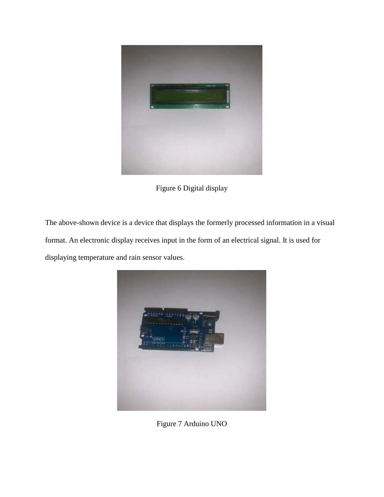

Figure 6 Digital display

The above-shown device is a device that displays the formerly processed information in a visual format. An electronic display receives input in the form of an electrical signal. It is used for displaying temperature and rain sensor values.



Figure 7 Arduino UNO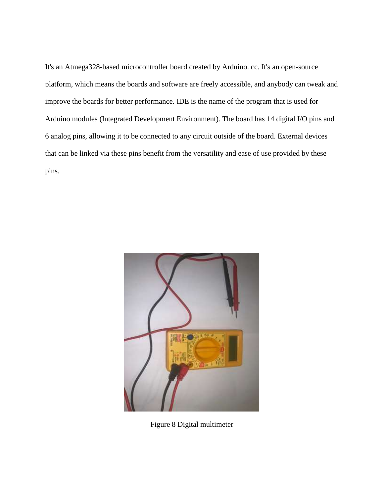It's an Atmega328-based microcontroller board created by Arduino. cc. It's an open-source platform, which means the boards and software are freely accessible, and anybody can tweak and improve the boards for better performance. IDE is the name of the program that is used for Arduino modules (Integrated Development Environment). The board has 14 digital I/O pins and 6 analog pins, allowing it to be connected to any circuit outside of the board. External devices that can be linked via these pins benefit from the versatility and ease of use provided by these pins.



Figure 8 Digital multimeter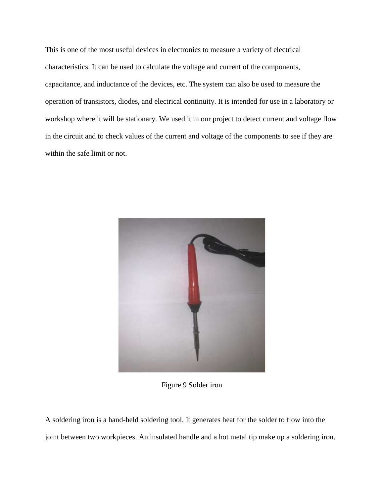This is one of the most useful devices in electronics to measure a variety of electrical characteristics. It can be used to calculate the voltage and current of the components, capacitance, and inductance of the devices, etc. The system can also be used to measure the operation of transistors, diodes, and electrical continuity. It is intended for use in a laboratory or workshop where it will be stationary. We used it in our project to detect current and voltage flow in the circuit and to check values of the current and voltage of the components to see if they are within the safe limit or not.



Figure 9 Solder iron

A soldering iron is a hand-held soldering tool. It generates heat for the solder to flow into the joint between two workpieces. An insulated handle and a hot metal tip make up a soldering iron.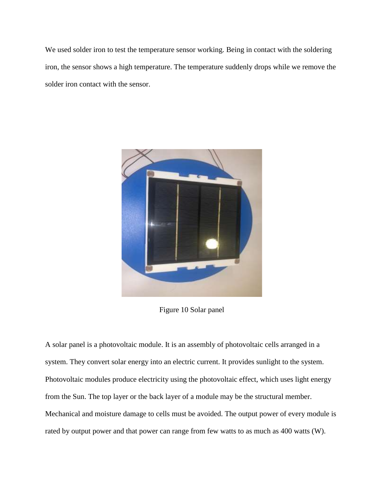We used solder iron to test the temperature sensor working. Being in contact with the soldering iron, the sensor shows a high temperature. The temperature suddenly drops while we remove the solder iron contact with the sensor.



Figure 10 Solar panel

A solar panel is a photovoltaic module. It is an assembly of photovoltaic cells arranged in a system. They convert solar energy into an electric current. It provides sunlight to the system. Photovoltaic modules produce electricity using the photovoltaic effect, which uses light energy from the Sun. The top layer or the back layer of a module may be the structural member. Mechanical and moisture damage to cells must be avoided. The output power of every module is rated by output power and that power can range from few watts to as much as 400 watts (W).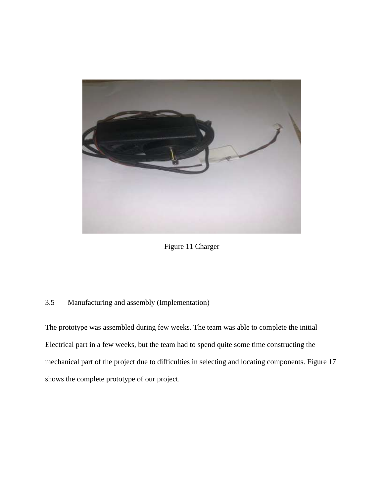

Figure 11 Charger

# 3.5 Manufacturing and assembly (Implementation)

The prototype was assembled during few weeks. The team was able to complete the initial Electrical part in a few weeks, but the team had to spend quite some time constructing the mechanical part of the project due to difficulties in selecting and locating components. Figure 17 shows the complete prototype of our project.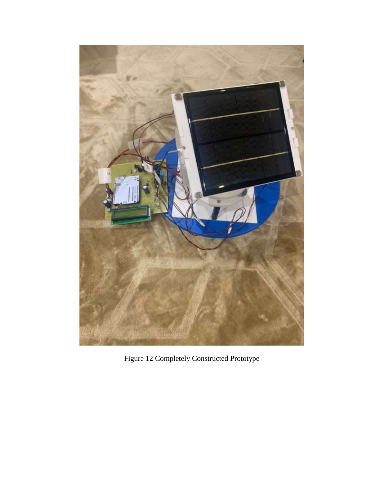

Figure 12 Completely Constructed Prototype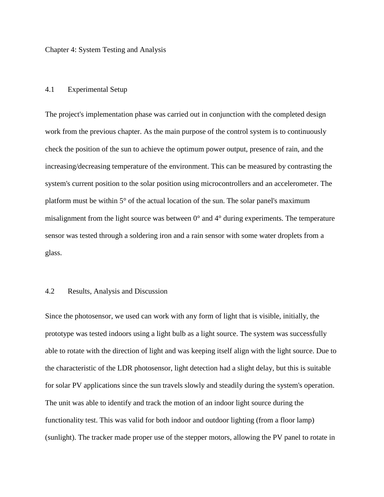Chapter 4: System Testing and Analysis

## 4.1 Experimental Setup

The project's implementation phase was carried out in conjunction with the completed design work from the previous chapter. As the main purpose of the control system is to continuously check the position of the sun to achieve the optimum power output, presence of rain, and the increasing/decreasing temperature of the environment. This can be measured by contrasting the system's current position to the solar position using microcontrollers and an accelerometer. The platform must be within 5° of the actual location of the sun. The solar panel's maximum misalignment from the light source was between 0° and 4° during experiments. The temperature sensor was tested through a soldering iron and a rain sensor with some water droplets from a glass.

# 4.2 Results, Analysis and Discussion

Since the photosensor, we used can work with any form of light that is visible, initially, the prototype was tested indoors using a light bulb as a light source. The system was successfully able to rotate with the direction of light and was keeping itself align with the light source. Due to the characteristic of the LDR photosensor, light detection had a slight delay, but this is suitable for solar PV applications since the sun travels slowly and steadily during the system's operation. The unit was able to identify and track the motion of an indoor light source during the functionality test. This was valid for both indoor and outdoor lighting (from a floor lamp) (sunlight). The tracker made proper use of the stepper motors, allowing the PV panel to rotate in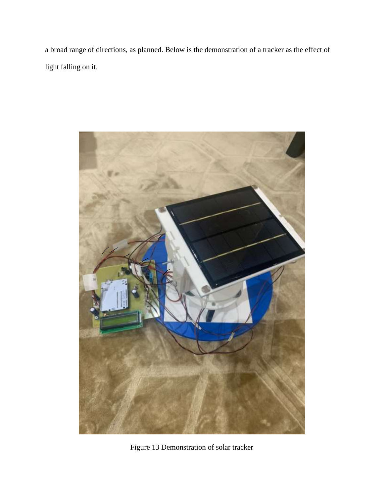a broad range of directions, as planned. Below is the demonstration of a tracker as the effect of light falling on it.



Figure 13 Demonstration of solar tracker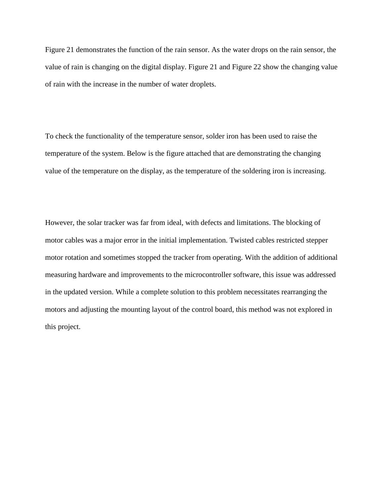Figure 21 demonstrates the function of the rain sensor. As the water drops on the rain sensor, the value of rain is changing on the digital display. Figure 21 and Figure 22 show the changing value of rain with the increase in the number of water droplets.

To check the functionality of the temperature sensor, solder iron has been used to raise the temperature of the system. Below is the figure attached that are demonstrating the changing value of the temperature on the display, as the temperature of the soldering iron is increasing.

However, the solar tracker was far from ideal, with defects and limitations. The blocking of motor cables was a major error in the initial implementation. Twisted cables restricted stepper motor rotation and sometimes stopped the tracker from operating. With the addition of additional measuring hardware and improvements to the microcontroller software, this issue was addressed in the updated version. While a complete solution to this problem necessitates rearranging the motors and adjusting the mounting layout of the control board, this method was not explored in this project.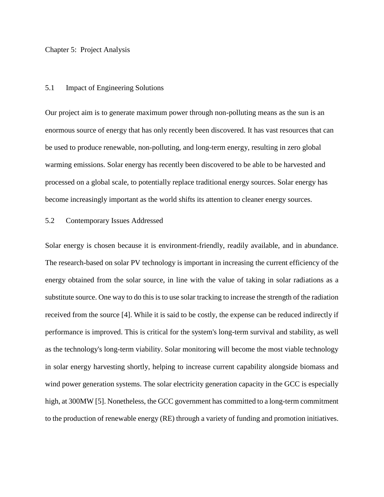### Chapter 5: Project Analysis

### 5.1 Impact of Engineering Solutions

Our project aim is to generate maximum power through non-polluting means as the sun is an enormous source of energy that has only recently been discovered. It has vast resources that can be used to produce renewable, non-polluting, and long-term energy, resulting in zero global warming emissions. Solar energy has recently been discovered to be able to be harvested and processed on a global scale, to potentially replace traditional energy sources. Solar energy has become increasingly important as the world shifts its attention to cleaner energy sources.

## 5.2 Contemporary Issues Addressed

Solar energy is chosen because it is environment-friendly, readily available, and in abundance. The research-based on solar PV technology is important in increasing the current efficiency of the energy obtained from the solar source, in line with the value of taking in solar radiations as a substitute source. One way to do this is to use solar tracking to increase the strength of the radiation received from the source [4]. While it is said to be costly, the expense can be reduced indirectly if performance is improved. This is critical for the system's long-term survival and stability, as well as the technology's long-term viability. Solar monitoring will become the most viable technology in solar energy harvesting shortly, helping to increase current capability alongside biomass and wind power generation systems. The solar electricity generation capacity in the GCC is especially high, at 300MW [5]. Nonetheless, the GCC government has committed to a long-term commitment to the production of renewable energy (RE) through a variety of funding and promotion initiatives.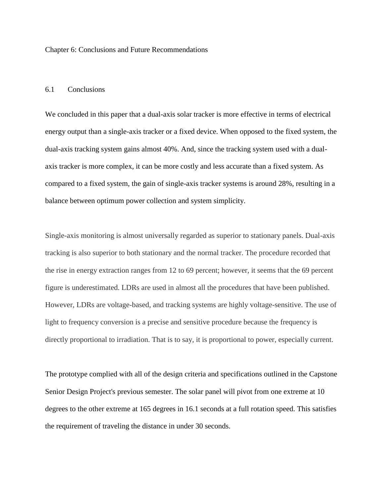Chapter 6: Conclusions and Future Recommendations

## 6.1 Conclusions

We concluded in this paper that a dual-axis solar tracker is more effective in terms of electrical energy output than a single-axis tracker or a fixed device. When opposed to the fixed system, the dual-axis tracking system gains almost 40%. And, since the tracking system used with a dualaxis tracker is more complex, it can be more costly and less accurate than a fixed system. As compared to a fixed system, the gain of single-axis tracker systems is around 28%, resulting in a balance between optimum power collection and system simplicity.

Single-axis monitoring is almost universally regarded as superior to stationary panels. Dual-axis tracking is also superior to both stationary and the normal tracker. The procedure recorded that the rise in energy extraction ranges from 12 to 69 percent; however, it seems that the 69 percent figure is underestimated. LDRs are used in almost all the procedures that have been published. However, LDRs are voltage-based, and tracking systems are highly voltage-sensitive. The use of light to frequency conversion is a precise and sensitive procedure because the frequency is directly proportional to irradiation. That is to say, it is proportional to power, especially current.

The prototype complied with all of the design criteria and specifications outlined in the Capstone Senior Design Project's previous semester. The solar panel will pivot from one extreme at 10 degrees to the other extreme at 165 degrees in 16.1 seconds at a full rotation speed. This satisfies the requirement of traveling the distance in under 30 seconds.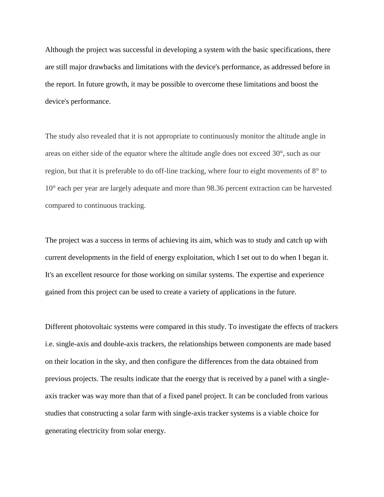Although the project was successful in developing a system with the basic specifications, there are still major drawbacks and limitations with the device's performance, as addressed before in the report. In future growth, it may be possible to overcome these limitations and boost the device's performance.

The study also revealed that it is not appropriate to continuously monitor the altitude angle in areas on either side of the equator where the altitude angle does not exceed 30°, such as our region, but that it is preferable to do off-line tracking, where four to eight movements of 8° to 10° each per year are largely adequate and more than 98.36 percent extraction can be harvested compared to continuous tracking.

The project was a success in terms of achieving its aim, which was to study and catch up with current developments in the field of energy exploitation, which I set out to do when I began it. It's an excellent resource for those working on similar systems. The expertise and experience gained from this project can be used to create a variety of applications in the future.

Different photovoltaic systems were compared in this study. To investigate the effects of trackers i.e. single-axis and double-axis trackers, the relationships between components are made based on their location in the sky, and then configure the differences from the data obtained from previous projects. The results indicate that the energy that is received by a panel with a singleaxis tracker was way more than that of a fixed panel project. It can be concluded from various studies that constructing a solar farm with single-axis tracker systems is a viable choice for generating electricity from solar energy.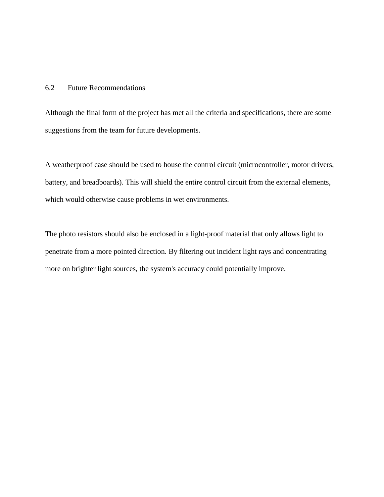## 6.2 Future Recommendations

Although the final form of the project has met all the criteria and specifications, there are some suggestions from the team for future developments.

A weatherproof case should be used to house the control circuit (microcontroller, motor drivers, battery, and breadboards). This will shield the entire control circuit from the external elements, which would otherwise cause problems in wet environments.

The photo resistors should also be enclosed in a light-proof material that only allows light to penetrate from a more pointed direction. By filtering out incident light rays and concentrating more on brighter light sources, the system's accuracy could potentially improve.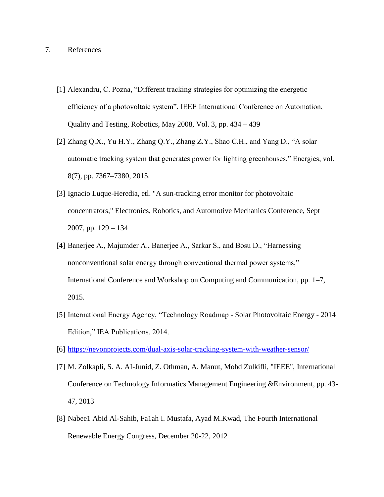## 7. References

- [1] Alexandru, C. Pozna, "Different tracking strategies for optimizing the energetic efficiency of a photovoltaic system", IEEE International Conference on Automation, Quality and Testing, Robotics, May 2008, Vol. 3, pp. 434 – 439
- [2] Zhang Q.X., Yu H.Y., Zhang Q.Y., Zhang Z.Y., Shao C.H., and Yang D., "A solar automatic tracking system that generates power for lighting greenhouses," Energies, vol. 8(7), pp. 7367–7380, 2015.
- [3] Ignacio Luque-Heredia, etl. "A sun-tracking error monitor for photovoltaic concentrators," Electronics, Robotics, and Automotive Mechanics Conference, Sept 2007, pp. 129 – 134
- [4] Banerjee A., Majumder A., Banerjee A., Sarkar S., and Bosu D., "Harnessing nonconventional solar energy through conventional thermal power systems," International Conference and Workshop on Computing and Communication, pp. 1–7, 2015.
- [5] International Energy Agency, "Technology Roadmap Solar Photovoltaic Energy 2014 Edition," IEA Publications, 2014.
- [6] <https://nevonprojects.com/dual-axis-solar-tracking-system-with-weather-sensor/>
- [7] M. Zolkapli, S. A. AI-Junid, Z. Othman, A. Manut, Mohd Zulkifli, "IEEE", International Conference on Technology Informatics Management Engineering &Environment, pp. 43- 47, 2013
- [8] Nabee1 Abid Al-Sahib, Fa1ah I. Mustafa, Ayad M.Kwad, The Fourth International Renewable Energy Congress, December 20-22, 2012